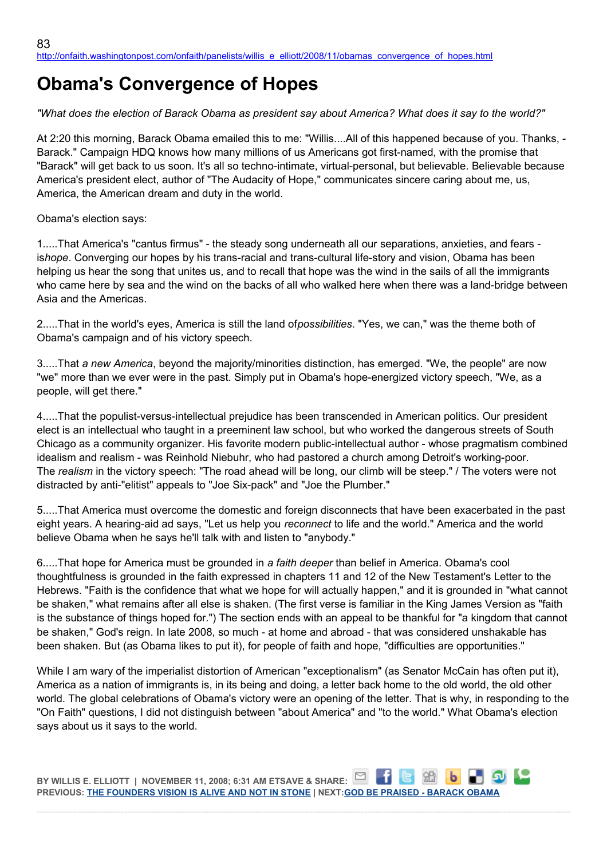## **Obama's Convergence of Hopes**

*"What does the election of Barack Obama as president say about America? What does it say to the world?"*

At 2:20 this morning, Barack Obama emailed this to me: "Willis....All of this happened because of you. Thanks, - Barack." Campaign HDQ knows how many millions of us Americans got first-named, with the promise that "Barack" will get back to us soon. It's all so techno-intimate, virtual-personal, but believable. Believable because America's president elect, author of "The Audacity of Hope," communicates sincere caring about me, us, America, the American dream and duty in the world.

Obama's election says:

1.....That America's "cantus firmus" - the steady song underneath all our separations, anxieties, and fears is*hope*. Converging our hopes by his trans-racial and trans-cultural life-story and vision, Obama has been helping us hear the song that unites us, and to recall that hope was the wind in the sails of all the immigrants who came here by sea and the wind on the backs of all who walked here when there was a land-bridge between Asia and the Americas.

2.....That in the world's eyes, America is still the land of*possibilities*. "Yes, we can," was the theme both of Obama's campaign and of his victory speech.

3.....That *a new America*, beyond the majority/minorities distinction, has emerged. "We, the people" are now "we" more than we ever were in the past. Simply put in Obama's hope-energized victory speech, "We, as a people, will get there."

4.....That the populist-versus-intellectual prejudice has been transcended in American politics. Our president elect is an intellectual who taught in a preeminent law school, but who worked the dangerous streets of South Chicago as a community organizer. His favorite modern public-intellectual author - whose pragmatism combined idealism and realism - was Reinhold Niebuhr, who had pastored a church among Detroit's working-poor. The *realism* in the victory speech: "The road ahead will be long, our climb will be steep." / The voters were not distracted by anti-"elitist" appeals to "Joe Six-pack" and "Joe the Plumber."

5.....That America must overcome the domestic and foreign disconnects that have been exacerbated in the past eight years. A hearing-aid ad says, "Let us help you *reconnect* to life and the world." America and the world believe Obama when he says he'll talk with and listen to "anybody."

6.....That hope for America must be grounded in *a faith deeper* than belief in America. Obama's cool thoughtfulness is grounded in the faith expressed in chapters 11 and 12 of the New Testament's Letter to the Hebrews. "Faith is the confidence that what we hope for will actually happen," and it is grounded in "what cannot be shaken," what remains after all else is shaken. (The first verse is familiar in the King James Version as "faith is the substance of things hoped for.") The section ends with an appeal to be thankful for "a kingdom that cannot be shaken," God's reign. In late 2008, so much - at home and abroad - that was considered unshakable has been shaken. But (as Obama likes to put it), for people of faith and hope, "difficulties are opportunities."

While I am wary of the imperialist distortion of American "exceptionalism" (as Senator McCain has often put it), America as a nation of immigrants is, in its being and doing, a letter back home to the old world, the old other world. The global celebrations of Obama's victory were an opening of the letter. That is why, in responding to the "On Faith" questions, I did not distinguish between "about America" and "to the world." What Obama's election says about us it says to the world.